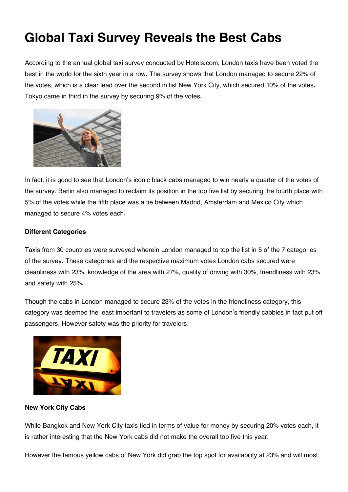# **Global Taxi Survey Reveals the Best Cabs**

According to the annual global taxi survey conducted by Hotels.com, London taxis have been voted the best in the world for the sixth year in a row. The survey shows that London managed to secure 22% of the votes, which is a clear lead over the second in list New York City, which secured 10% of the votes. Tokyo came in third in the survey by securing 9% of the votes.



In fact, it is good to see that London's iconic black cabs managed to win nearly a quarter of the votes of the survey. Berlin also managed to reclaim its position in the top five list by securing the fourth place with 5% of the votes while the fifth place was a tie between Madrid, Amsterdam and Mexico City which managed to secure 4% votes each.

#### **Different Categories**

Taxis from 30 countries were surveyed wherein London managed to top the list in 5 of the 7 categories of the survey. These categories and the respective maximum votes London cabs secured were cleanliness with 23%, knowledge of the area with 27%, quality of driving with 30%, friendliness with 23% and safety with 25%.

Though the cabs in London managed to secure 23% of the votes in the friendliness category, this category was deemed the least important to travelers as some of London's friendly cabbies in fact put off passengers. However safety was the priority for travelers.



#### **New York City Cabs**

While Bangkok and New York City taxis tied in terms of value for money by securing 20% votes each, it is rather interesting that the New York cabs did not make the overall top five this year.

However the famous yellow cabs of New York did grab the top spot for availability at 23% and will most